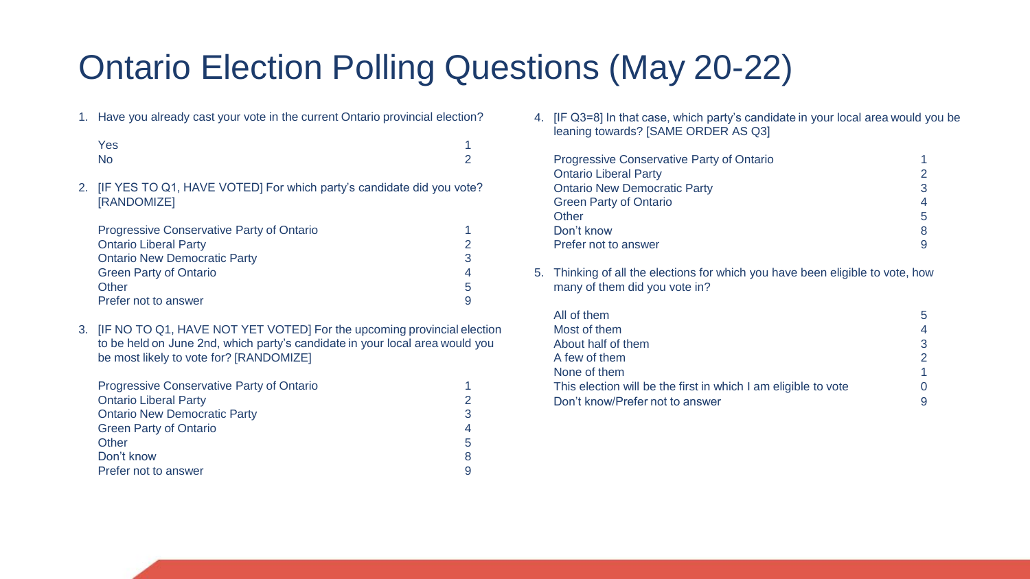## Ontario Election Polling Questions (May 20-22)

1. Have you already cast your vote in the current Ontario provincial election?

| Yes       | 1        |
|-----------|----------|
| <b>No</b> | $\Omega$ |

2. [IF YES TO Q1, HAVE VOTED] For which party's candidate did you vote? [RANDOMIZE]

| <b>Progressive Conservative Party of Ontario</b> |    |
|--------------------------------------------------|----|
| <b>Ontario Liberal Party</b>                     |    |
| <b>Ontario New Democratic Party</b>              |    |
| <b>Green Party of Ontario</b>                    |    |
| Other                                            | .5 |
| Prefer not to answer                             |    |

3. [IF NO TO Q1, HAVE NOT YET VOTED] For the upcoming provincial election to be held on June 2nd, which party's candidate in your local area would you be most likely to vote for? [RANDOMIZE]

| <b>Progressive Conservative Party of Ontario</b> |   |
|--------------------------------------------------|---|
| <b>Ontario Liberal Party</b>                     |   |
| <b>Ontario New Democratic Party</b>              | 3 |
| <b>Green Party of Ontario</b>                    | 4 |
| Other                                            | 5 |
| Don't know                                       | 8 |
| Prefer not to answer                             |   |

4. [IF Q3=8] In that case, which party's candidate in your local area would you be leaning towards? [SAME ORDER AS Q3]

| <b>Progressive Conservative Party of Ontario</b> |    |
|--------------------------------------------------|----|
| <b>Ontario Liberal Party</b>                     | 2  |
| <b>Ontario New Democratic Party</b>              | 3  |
| <b>Green Party of Ontario</b>                    | 4  |
| Other                                            | 5. |
| Don't know                                       | 8  |
| Prefer not to answer                             | 9  |

5. Thinking of all the elections for which you have been eligible to vote, how many of them did you vote in?

| All of them                                                    | 5. |
|----------------------------------------------------------------|----|
| Most of them                                                   | 4  |
| About half of them                                             | 3  |
| A few of them                                                  |    |
| None of them                                                   |    |
| This election will be the first in which I am eligible to vote |    |
| Don't know/Prefer not to answer                                |    |